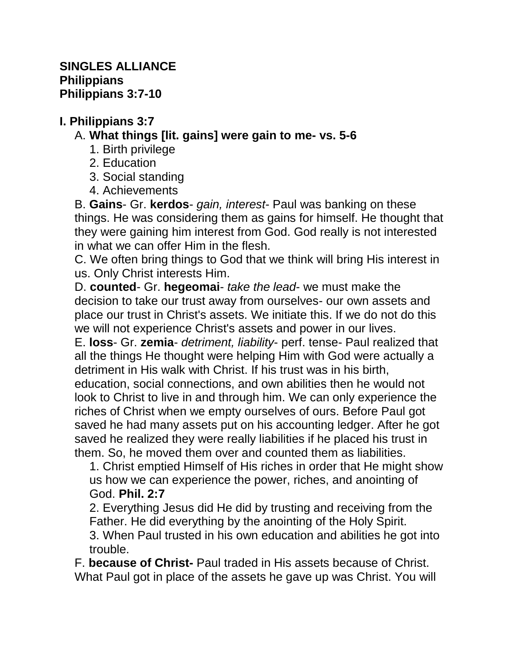## **I. Philippians 3:7**

# A. **What things [lit. gains] were gain to me- vs. 5-6**

- 1. Birth privilege
- 2. Education
- 3. Social standing
- 4. Achievements

B. **Gains**- Gr. **kerdos**- *gain, interest*- Paul was banking on these things. He was considering them as gains for himself. He thought that they were gaining him interest from God. God really is not interested in what we can offer Him in the flesh.

C. We often bring things to God that we think will bring His interest in us. Only Christ interests Him.

D. **counted**- Gr. **hegeomai**- *take the lead*- we must make the decision to take our trust away from ourselves- our own assets and place our trust in Christ's assets. We initiate this. If we do not do this we will not experience Christ's assets and power in our lives.

E. **loss**- Gr. **zemia**- *detriment, liability*- perf. tense- Paul realized that all the things He thought were helping Him with God were actually a detriment in His walk with Christ. If his trust was in his birth, education, social connections, and own abilities then he would not look to Christ to live in and through him. We can only experience the riches of Christ when we empty ourselves of ours. Before Paul got saved he had many assets put on his accounting ledger. After he got saved he realized they were really liabilities if he placed his trust in them. So, he moved them over and counted them as liabilities.

1. Christ emptied Himself of His riches in order that He might show us how we can experience the power, riches, and anointing of God. **Phil. 2:7**

2. Everything Jesus did He did by trusting and receiving from the Father. He did everything by the anointing of the Holy Spirit. 3. When Paul trusted in his own education and abilities he got into trouble.

F. **because of Christ-** Paul traded in His assets because of Christ. What Paul got in place of the assets he gave up was Christ. You will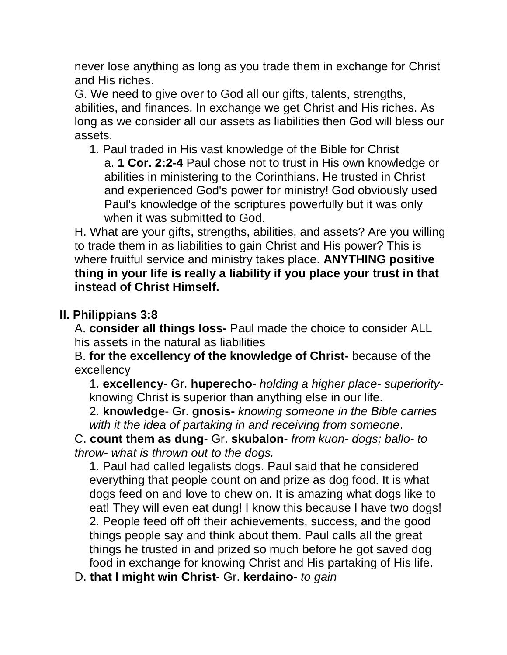never lose anything as long as you trade them in exchange for Christ and His riches.

G. We need to give over to God all our gifts, talents, strengths, abilities, and finances. In exchange we get Christ and His riches. As long as we consider all our assets as liabilities then God will bless our assets.

1. Paul traded in His vast knowledge of the Bible for Christ a. **1 Cor. 2:2-4** Paul chose not to trust in His own knowledge or abilities in ministering to the Corinthians. He trusted in Christ and experienced God's power for ministry! God obviously used Paul's knowledge of the scriptures powerfully but it was only when it was submitted to God.

H. What are your gifts, strengths, abilities, and assets? Are you willing to trade them in as liabilities to gain Christ and His power? This is where fruitful service and ministry takes place. **ANYTHING positive thing in your life is really a liability if you place your trust in that instead of Christ Himself.** 

## **II. Philippians 3:8**

A. **consider all things loss-** Paul made the choice to consider ALL his assets in the natural as liabilities

B. **for the excellency of the knowledge of Christ-** because of the excellency

1. **excellency**- Gr. **huperecho**- *holding a higher place- superiority*knowing Christ is superior than anything else in our life.

2. **knowledge**- Gr. **gnosis-** *knowing someone in the Bible carries with it the idea of partaking in and receiving from someone*.

C. **count them as dung**- Gr. **skubalon**- *from kuon- dogs; ballo- to throw- what is thrown out to the dogs.*

1. Paul had called legalists dogs. Paul said that he considered everything that people count on and prize as dog food. It is what dogs feed on and love to chew on. It is amazing what dogs like to eat! They will even eat dung! I know this because I have two dogs! 2. People feed off off their achievements, success, and the good things people say and think about them. Paul calls all the great things he trusted in and prized so much before he got saved dog food in exchange for knowing Christ and His partaking of His life.

D. **that I might win Christ**- Gr. **kerdaino**- *to gain*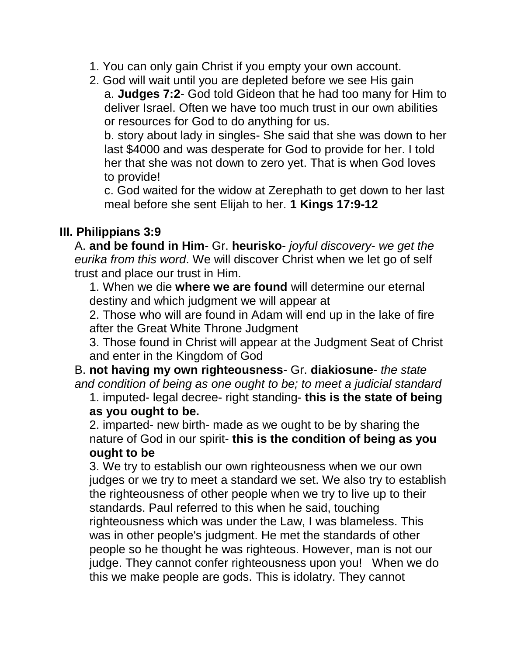- 1. You can only gain Christ if you empty your own account.
- 2. God will wait until you are depleted before we see His gain a. **Judges 7:2**- God told Gideon that he had too many for Him to deliver Israel. Often we have too much trust in our own abilities or resources for God to do anything for us.

b. story about lady in singles- She said that she was down to her last \$4000 and was desperate for God to provide for her. I told her that she was not down to zero yet. That is when God loves to provide!

c. God waited for the widow at Zerephath to get down to her last meal before she sent Elijah to her. **1 Kings 17:9-12**

## **III. Philippians 3:9**

A. **and be found in Him**- Gr. **heurisko**- *joyful discovery*- *we get the eurika from this word*. We will discover Christ when we let go of self trust and place our trust in Him.

1. When we die **where we are found** will determine our eternal destiny and which judgment we will appear at

2. Those who will are found in Adam will end up in the lake of fire after the Great White Throne Judgment

3. Those found in Christ will appear at the Judgment Seat of Christ and enter in the Kingdom of God

B. **not having my own righteousness**- Gr. **diakiosune**- *the state and condition of being as one ought to be; to meet a judicial standard*

1. imputed- legal decree- right standing- **this is the state of being as you ought to be.**

2. imparted- new birth- made as we ought to be by sharing the nature of God in our spirit- **this is the condition of being as you ought to be** 

3. We try to establish our own righteousness when we our own judges or we try to meet a standard we set. We also try to establish the righteousness of other people when we try to live up to their standards. Paul referred to this when he said, touching righteousness which was under the Law, I was blameless. This was in other people's judgment. He met the standards of other people so he thought he was righteous. However, man is not our judge. They cannot confer righteousness upon you! When we do this we make people are gods. This is idolatry. They cannot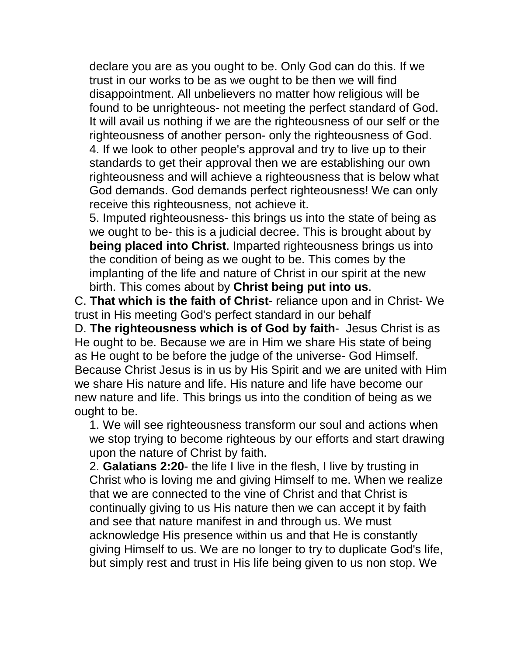declare you are as you ought to be. Only God can do this. If we trust in our works to be as we ought to be then we will find disappointment. All unbelievers no matter how religious will be found to be unrighteous- not meeting the perfect standard of God. It will avail us nothing if we are the righteousness of our self or the righteousness of another person- only the righteousness of God. 4. If we look to other people's approval and try to live up to their standards to get their approval then we are establishing our own righteousness and will achieve a righteousness that is below what God demands. God demands perfect righteousness! We can only receive this righteousness, not achieve it.

5. Imputed righteousness- this brings us into the state of being as we ought to be- this is a judicial decree. This is brought about by **being placed into Christ**. Imparted righteousness brings us into the condition of being as we ought to be. This comes by the implanting of the life and nature of Christ in our spirit at the new birth. This comes about by **Christ being put into us**.

C. **That which is the faith of Christ**- reliance upon and in Christ- We trust in His meeting God's perfect standard in our behalf

D. **The righteousness which is of God by faith**- Jesus Christ is as He ought to be. Because we are in Him we share His state of being as He ought to be before the judge of the universe- God Himself. Because Christ Jesus is in us by His Spirit and we are united with Him we share His nature and life. His nature and life have become our new nature and life. This brings us into the condition of being as we ought to be.

1. We will see righteousness transform our soul and actions when we stop trying to become righteous by our efforts and start drawing upon the nature of Christ by faith.

2. **Galatians 2:20**- the life I live in the flesh, I live by trusting in Christ who is loving me and giving Himself to me. When we realize that we are connected to the vine of Christ and that Christ is continually giving to us His nature then we can accept it by faith and see that nature manifest in and through us. We must acknowledge His presence within us and that He is constantly giving Himself to us. We are no longer to try to duplicate God's life, but simply rest and trust in His life being given to us non stop. We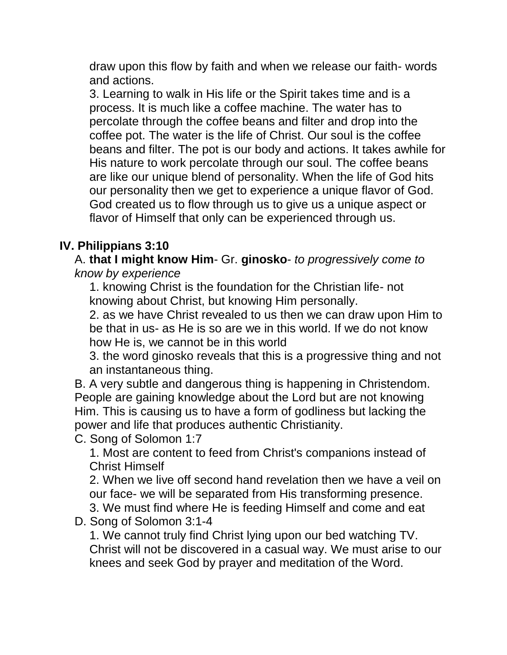draw upon this flow by faith and when we release our faith- words and actions.

3. Learning to walk in His life or the Spirit takes time and is a process. It is much like a coffee machine. The water has to percolate through the coffee beans and filter and drop into the coffee pot. The water is the life of Christ. Our soul is the coffee beans and filter. The pot is our body and actions. It takes awhile for His nature to work percolate through our soul. The coffee beans are like our unique blend of personality. When the life of God hits our personality then we get to experience a unique flavor of God. God created us to flow through us to give us a unique aspect or flavor of Himself that only can be experienced through us.

# **IV. Philippians 3:10**

A. **that I might know Him**- Gr. **ginosko**- *to progressively come to know by experience*

1. knowing Christ is the foundation for the Christian life- not knowing about Christ, but knowing Him personally.

2. as we have Christ revealed to us then we can draw upon Him to be that in us- as He is so are we in this world. If we do not know how He is, we cannot be in this world

3. the word ginosko reveals that this is a progressive thing and not an instantaneous thing.

B. A very subtle and dangerous thing is happening in Christendom. People are gaining knowledge about the Lord but are not knowing Him. This is causing us to have a form of godliness but lacking the power and life that produces authentic Christianity.

C. Song of Solomon 1:7

1. Most are content to feed from Christ's companions instead of Christ Himself

2. When we live off second hand revelation then we have a veil on our face- we will be separated from His transforming presence. 3. We must find where He is feeding Himself and come and eat

D. Song of Solomon 3:1-4

1. We cannot truly find Christ lying upon our bed watching TV. Christ will not be discovered in a casual way. We must arise to our knees and seek God by prayer and meditation of the Word.